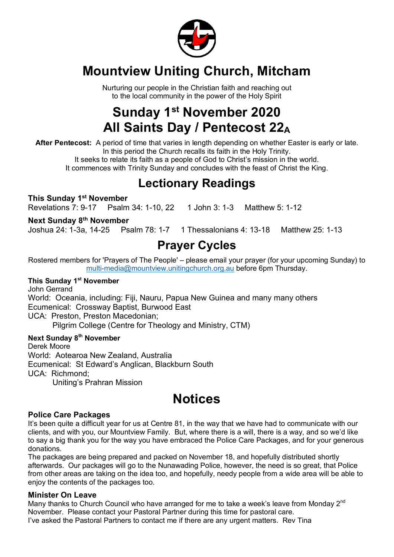

## **Mountview Uniting Church, Mitcham**

Nurturing our people in the Christian faith and reaching out to the local community in the power of the Holy Spirit

## **Sunday 1st November 2020 All Saints Day / Pentecost 22A**

**After Pentecost:** A period of time that varies in length depending on whether Easter is early or late. In this period the Church recalls its faith in the Holy Trinity.

It seeks to relate its faith as a people of God to Christ's mission in the world. It commences with Trinity Sunday and concludes with the feast of Christ the King.

## **Lectionary Readings**

**This Sunday 1st November** Revelations 7: 9-17 Psalm 34: 1-10, 22 1 John 3: 1-3 Matthew 5: 1-12

**Next Sunday 8th November**

Joshua 24: 1-3a, 14-25 Psalm 78: 1-7 1 Thessalonians 4: 13-18 Matthew 25: 1-13

## **Prayer Cycles**

Rostered members for 'Prayers of The People' – please email your prayer (for your upcoming Sunday) to multi-media@mountview.unitingchurch.org.au before 6pm Thursday.

#### **This Sunday 1st November**

John Gerrand World: Oceania, including: Fiji, Nauru, Papua New Guinea and many many others Ecumenical: Crossway Baptist, Burwood East UCA: Preston, Preston Macedonian; Pilgrim College (Centre for Theology and Ministry, CTM)

#### **Next Sunday 8th November**

Derek Moore World: Aotearoa New Zealand, Australia Ecumenical: St Edward's Anglican, Blackburn South UCA: Richmond; Uniting's Prahran Mission

## **Notices**

#### **Police Care Packages**

It's been quite a difficult year for us at Centre 81, in the way that we have had to communicate with our clients, and with you, our Mountview Family. But, where there is a will, there is a way, and so we'd like to say a big thank you for the way you have embraced the Police Care Packages, and for your generous donations.

The packages are being prepared and packed on November 18, and hopefully distributed shortly afterwards. Our packages will go to the Nunawading Police, however, the need is so great, that Police from other areas are taking on the idea too, and hopefully, needy people from a wide area will be able to enjoy the contents of the packages too.

#### **Minister On Leave**

Many thanks to Church Council who have arranged for me to take a week's leave from Monday 2<sup>nd</sup> November. Please contact your Pastoral Partner during this time for pastoral care. I've asked the Pastoral Partners to contact me if there are any urgent matters. Rev Tina